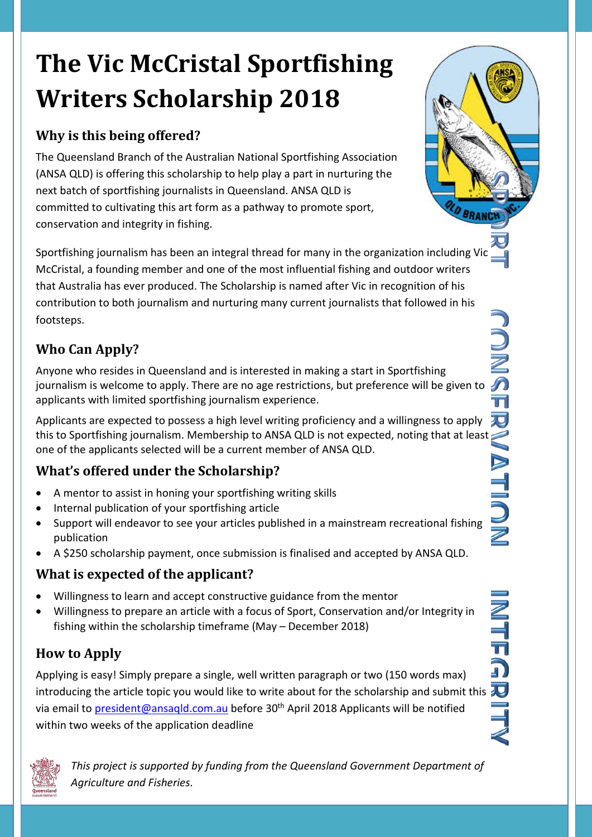# **The Vic McCristal Sportfishing Writers Scholarship 2018**

## **Why is this being offered?**

The Queensland Branch of the Australian National Sportfishing Association (ANSA QLD) is offering this scholarship to help play a part in nurturing the next batch of sportfishing journalists in Queensland. ANSA QLD is committed to cultivating this art form as a pathway to promote sport, conservation and integrity in fishing.

Sportfishing journalism has been an integral thread for many in the organization including Vic McCristal, a founding member and one of the most influential fishing and outdoor writers that Australia has ever produced. The Scholarship is named after Vic in recognition of his contribution to both journalism and nurturing many current journalists that followed in his footsteps.

# **Who Can Apply?**

Anyone who resides in Queensland and is interested in making a start in Sportfishing journalism is welcome to apply. There are no age restrictions, but preference will be given to applicants with limited sportfishing journalism experience.

Applicants are expected to possess a high level writing proficiency and a willingness to apply this to Sportfishing journalism. Membership to ANSA QLD is not expected, noting that at least one of the applicants selected will be a current member of ANSA QLD.

# **What's offered under the Scholarship?**

- A mentor to assist in honing your sportfishing writing skills
- Internal publication of your sportfishing article
- Support will endeavor to see your articles published in a mainstream recreational fishing publication
- A \$250 scholarship payment, once submission is finalised and accepted by ANSA QLD.

## **What is expected of the applicant?**

- Willingness to learn and accept constructive guidance from the mentor
- Willingness to prepare an article with a focus of Sport, Conservation and/or Integrity in fishing within the scholarship timeframe (May – December 2018)

# **How to Apply**

Applying is easy! Simply prepare a single, well written paragraph or two (150 words max) introducing the article topic you would like to write about for the scholarship and submit this  $\overline{\mathbf{v}}$ via email to [president@ansaqld.com.au](mailto:president@ansaqld.com.au) before 30<sup>th</sup> April 2018 Applicants will be notified within two weeks of the application deadline



*This project is supported by funding from the Queensland Government Department of Agriculture and Fisheries.*

**LD BRANC**  $\sqrt{2}$  $\overline{\mathbb{T}}$ 万 **NON** 

a)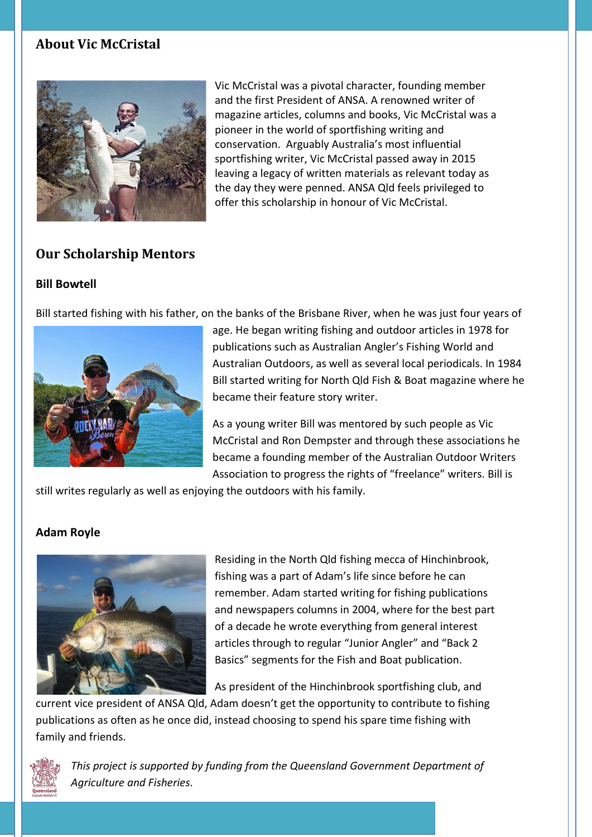#### **About Vic McCristal**



Vic McCristal was a pivotal character, founding member and the first President of ANSA. A renowned writer of magazine articles, columns and books, Vic McCristal was a pioneer in the world of sportfishing writing and conservation. Arguably Australia's most influential sportfishing writer, Vic McCristal passed away in 2015 leaving a legacy of written materials as relevant today as the day they were penned. ANSA Qld feels privileged to offer this scholarship in honour of Vic McCristal.

## **Our Scholarship Mentors**

#### **Bill Bowtell**

Bill started fishing with his father, on the banks of the Brisbane River, when he was just four years of



age. He began writing fishing and outdoor articles in 1978 for publications such as Australian Angler's Fishing World and Australian Outdoors, as well as several local periodicals. In 1984 Bill started writing for North Qld Fish & Boat magazine where he became their feature story writer.

As a young writer Bill was mentored by such people as Vic McCristal and Ron Dempster and through these associations he became a founding member of the Australian Outdoor Writers Association to progress the rights of "freelance" writers. Bill is

still writes regularly as well as enjoying the outdoors with his family.

#### **Adam Royle**



Residing in the North Qld fishing mecca of Hinchinbrook, fishing was a part of Adam's life since before he can remember. Adam started writing for fishing publications and newspapers columns in 2004, where for the best part of a decade he wrote everything from general interest articles through to regular "Junior Angler" and "Back 2 Basics" segments for the Fish and Boat publication.

As president of the Hinchinbrook sportfishing club, and

current vice president of ANSA Qld, Adam doesn't get the opportunity to contribute to fishing publications as often as he once did, instead choosing to spend his spare time fishing with family and friends.



*This project is supported by funding from the Queensland Government Department of Agriculture and Fisheries.*